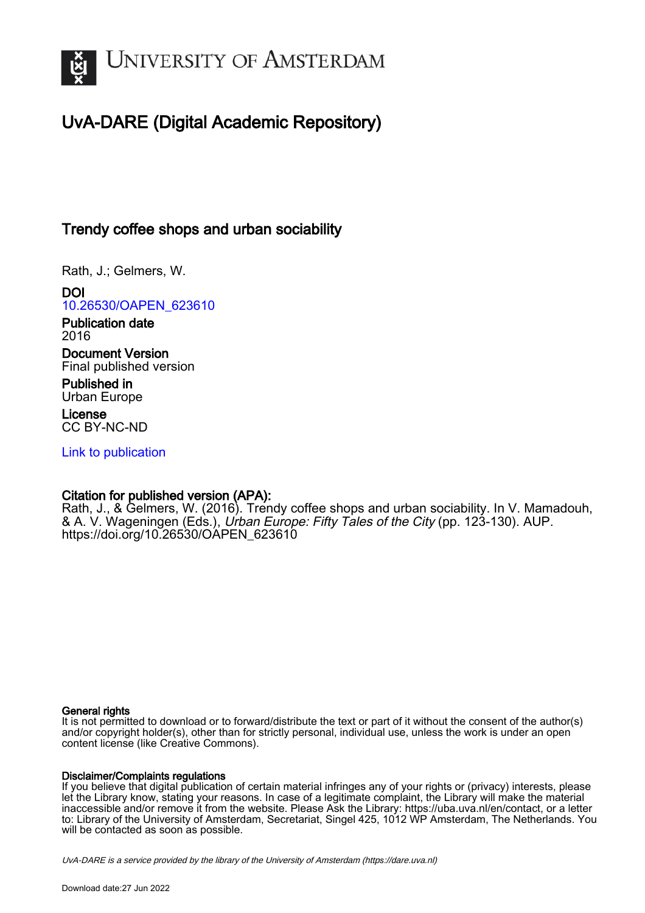

# UvA-DARE (Digital Academic Repository)

# Trendy coffee shops and urban sociability

Rath, J.; Gelmers, W.

DOI [10.26530/OAPEN\\_623610](https://doi.org/10.26530/OAPEN_623610)

Publication date 2016

Document Version Final published version

Published in Urban Europe

License CC BY-NC-ND

[Link to publication](https://dare.uva.nl/personal/pure/en/publications/trendy-coffee-shops-and-urban-sociability(359ebd75-d5d5-4493-ac11-807b37507465).html)

## Citation for published version (APA):

Rath, J., & Gelmers, W. (2016). Trendy coffee shops and urban sociability. In V. Mamadouh, & A. V. Wageningen (Eds.), Urban Europe: Fifty Tales of the City (pp. 123-130). AUP. [https://doi.org/10.26530/OAPEN\\_623610](https://doi.org/10.26530/OAPEN_623610)

#### General rights

It is not permitted to download or to forward/distribute the text or part of it without the consent of the author(s) and/or copyright holder(s), other than for strictly personal, individual use, unless the work is under an open content license (like Creative Commons).

#### Disclaimer/Complaints regulations

If you believe that digital publication of certain material infringes any of your rights or (privacy) interests, please let the Library know, stating your reasons. In case of a legitimate complaint, the Library will make the material inaccessible and/or remove it from the website. Please Ask the Library: https://uba.uva.nl/en/contact, or a letter to: Library of the University of Amsterdam, Secretariat, Singel 425, 1012 WP Amsterdam, The Netherlands. You will be contacted as soon as possible.

UvA-DARE is a service provided by the library of the University of Amsterdam (http*s*://dare.uva.nl)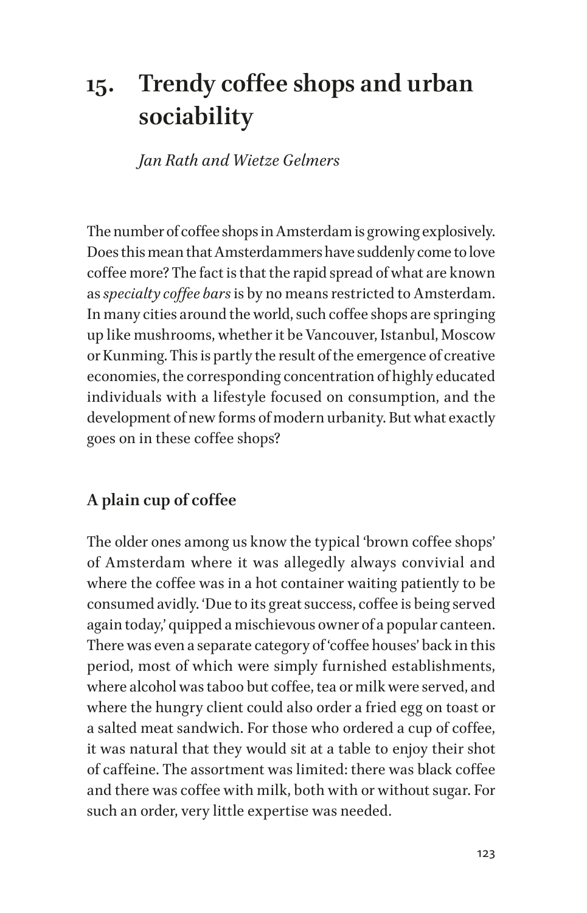# **15. Trendy coffee shops and urban sociability**

*Jan Rath and Wietze Gelmers*

The number of coffee shops in Amsterdam is growing explosively. Does this mean that Amsterdammers have suddenly come to love coffee more? The fact is that the rapid spread of what are known as *specialty coffee bars* is by no means restricted to Amsterdam. In many cities around the world, such coffee shops are springing up like mushrooms, whether it be Vancouver, Istanbul, Moscow or Kunming. This is partly the result of the emergence of creative economies, the corresponding concentration of highly educated individuals with a lifestyle focused on consumption, and the development of new forms of modern urbanity. But what exactly goes on in these coffee shops?

### **A plain cup of coffee**

The older ones among us know the typical 'brown coffee shops' of Amsterdam where it was allegedly always convivial and where the coffee was in a hot container waiting patiently to be consumed avidly. 'Due to its great success, coffee is being served again today,' quipped a mischievous owner of a popular canteen. There was even a separate category of 'coffee houses' back in this period, most of which were simply furnished establishments, where alcohol was taboo but coffee, tea or milk were served, and where the hungry client could also order a fried egg on toast or a salted meat sandwich. For those who ordered a cup of coffee, it was natural that they would sit at a table to enjoy their shot of caffeine. The assortment was limited: there was black coffee and there was coffee with milk, both with or without sugar. For such an order, very little expertise was needed.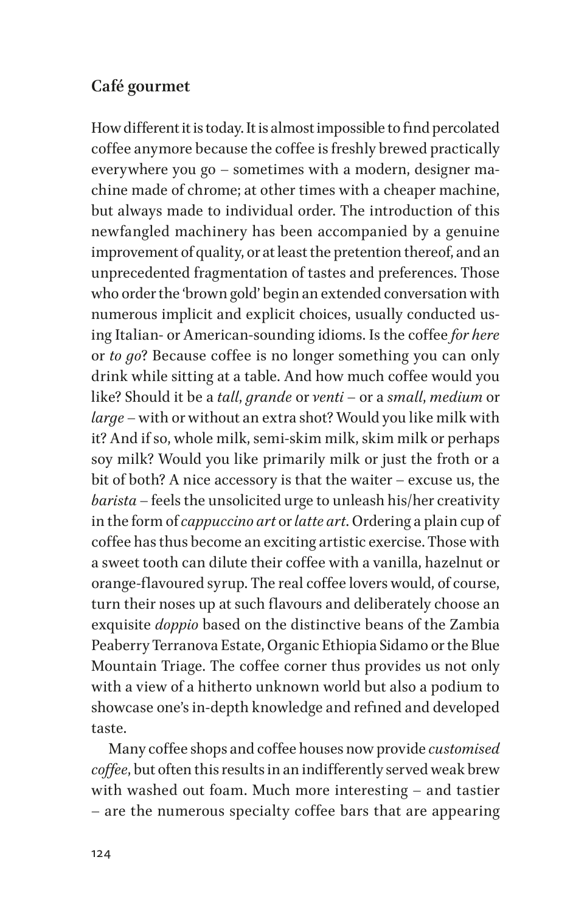#### **Café gourmet**

How different it is today. It is almost impossible to find percolated coffee anymore because the coffee is freshly brewed practically everywhere you go – sometimes with a modern, designer machine made of chrome; at other times with a cheaper machine, but always made to individual order. The introduction of this newfangled machinery has been accompanied by a genuine improvement of quality, or at least the pretention thereof, and an unprecedented fragmentation of tastes and preferences. Those who order the 'brown gold' begin an extended conversation with numerous implicit and explicit choices, usually conducted using Italian- or American-sounding idioms. Is the coffee *for here*  or *to go*? Because coffee is no longer something you can only drink while sitting at a table. And how much coffee would you like? Should it be a *tall*, *grande* or *venti* – or a *small*, *medium* or *large* – with or without an extra shot? Would you like milk with it? And if so, whole milk, semi-skim milk, skim milk or perhaps soy milk? Would you like primarily milk or just the froth or a bit of both? A nice accessory is that the waiter – excuse us, the *barista* – feels the unsolicited urge to unleash his/her creativity in the form of *cappuccino art* or *latte art*. Ordering a plain cup of coffee has thus become an exciting artistic exercise. Those with a sweet tooth can dilute their coffee with a vanilla, hazelnut or orange-flavoured syrup. The real coffee lovers would, of course, turn their noses up at such flavours and deliberately choose an exquisite *doppio* based on the distinctive beans of the Zambia Peaberry Terranova Estate, Organic Ethiopia Sidamo or the Blue Mountain Triage. The coffee corner thus provides us not only with a view of a hitherto unknown world but also a podium to showcase one's in-depth knowledge and refined and developed taste.

Many coffee shops and coffee houses now provide *customised coffee*, but often this results in an indifferently served weak brew with washed out foam. Much more interesting – and tastier – are the numerous specialty coffee bars that are appearing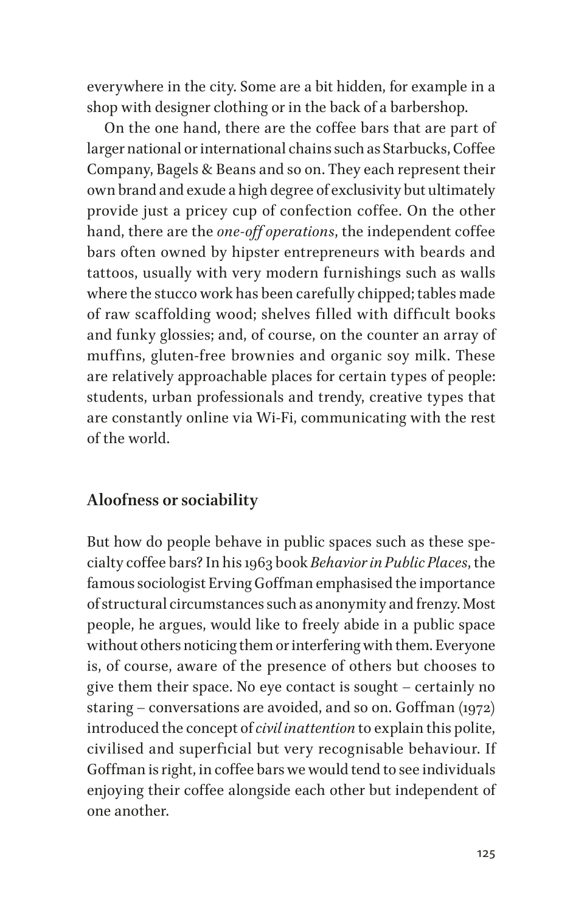everywhere in the city. Some are a bit hidden, for example in a shop with designer clothing or in the back of a barbershop.

On the one hand, there are the coffee bars that are part of larger national or international chains such as Starbucks, Coffee Company, Bagels & Beans and so on. They each represent their own brand and exude a high degree of exclusivity but ultimately provide just a pricey cup of confection coffee. On the other hand, there are the *one-off operations*, the independent coffee bars often owned by hipster entrepreneurs with beards and tattoos, usually with very modern furnishings such as walls where the stucco work has been carefully chipped; tables made of raw scaffolding wood; shelves filled with difficult books and funky glossies; and, of course, on the counter an array of muffins, gluten-free brownies and organic soy milk. These are relatively approachable places for certain types of people: students, urban professionals and trendy, creative types that are constantly online via Wi-Fi, communicating with the rest of the world.

#### **Aloofness or sociability**

But how do people behave in public spaces such as these specialty coffee bars? In his 1963 book *Behavior in Public Places*, the famous sociologist Erving Goffman emphasised the importance of structural circumstances such as anonymity and frenzy. Most people, he argues, would like to freely abide in a public space without others noticing them or interfering with them. Everyone is, of course, aware of the presence of others but chooses to give them their space. No eye contact is sought – certainly no staring – conversations are avoided, and so on. Goffman (1972) introduced the concept of *civil inattention* to explain this polite, civilised and superficial but very recognisable behaviour. If Goffman is right, in coffee bars we would tend to see individuals enjoying their coffee alongside each other but independent of one another.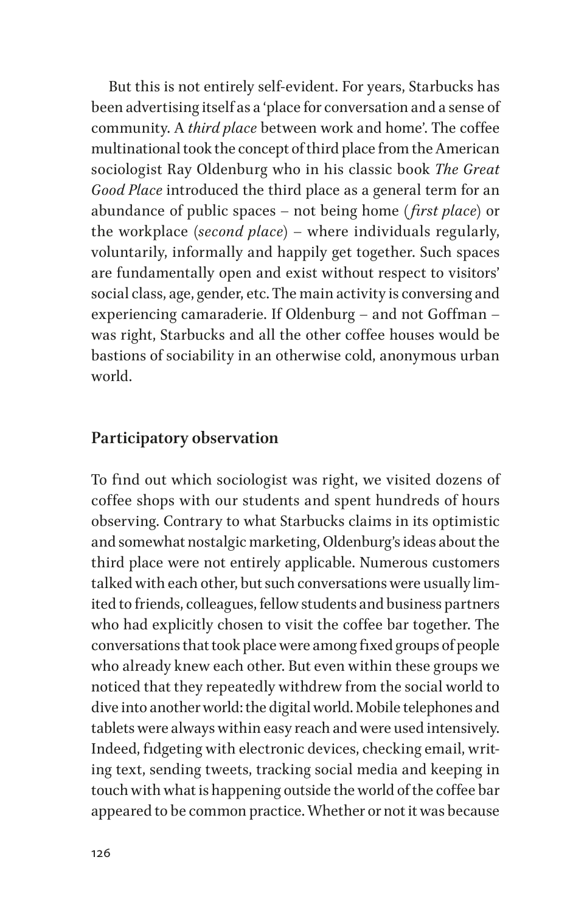But this is not entirely self-evident. For years, Starbucks has been advertising itself as a 'place for conversation and a sense of community. A *third place* between work and home'. The coffee multinational took the concept of third place from the American sociologist Ray Oldenburg who in his classic book *The Great Good Place* introduced the third place as a general term for an abundance of public spaces – not being home (*first place*) or the workplace (*second place*) – where individuals regularly, voluntarily, informally and happily get together. Such spaces are fundamentally open and exist without respect to visitors' social class, age, gender, etc. The main activity is conversing and experiencing camaraderie. If Oldenburg – and not Goffman – was right, Starbucks and all the other coffee houses would be bastions of sociability in an otherwise cold, anonymous urban world.

#### **Participatory observation**

To find out which sociologist was right, we visited dozens of coffee shops with our students and spent hundreds of hours observing. Contrary to what Starbucks claims in its optimistic and somewhat nostalgic marketing, Oldenburg's ideas about the third place were not entirely applicable. Numerous customers talked with each other, but such conversations were usually limited to friends, colleagues, fellow students and business partners who had explicitly chosen to visit the coffee bar together. The conversations that took place were among fixed groups of people who already knew each other. But even within these groups we noticed that they repeatedly withdrew from the social world to dive into another world: the digital world. Mobile telephones and tablets were always within easy reach and were used intensively. Indeed, fidgeting with electronic devices, checking email, writing text, sending tweets, tracking social media and keeping in touch with what is happening outside the world of the coffee bar appeared to be common practice. Whether or not it was because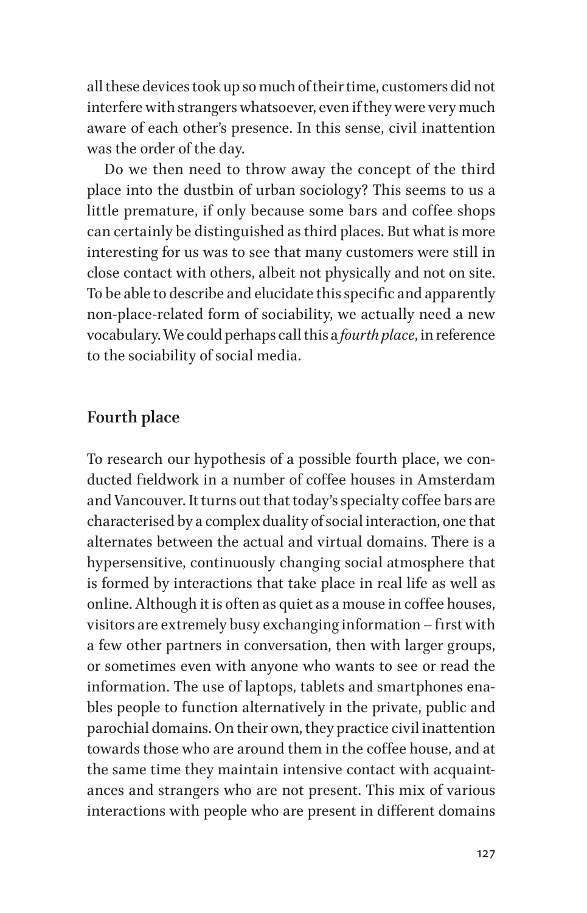all these devices took up so much of their time, customers did not interfere with strangers whatsoever, even if they were very much aware of each other's presence. In this sense, civil inattention was the order of the day.

Do we then need to throw away the concept of the third place into the dustbin of urban sociology? This seems to us a little premature, if only because some bars and coffee shops can certainly be distinguished as third places. But what is more interesting for us was to see that many customers were still in close contact with others, albeit not physically and not on site. To be able to describe and elucidate this specific and apparently non-place-related form of sociability, we actually need a new vocabulary. We could perhaps call this a *fourth place*, in reference to the sociability of social media.

#### **Fourth place**

To research our hypothesis of a possible fourth place, we conducted fieldwork in a number of coffee houses in Amsterdam and Vancouver. It turns out that today's specialty coffee bars are characterised by a complex duality of social interaction, one that alternates between the actual and virtual domains. There is a hypersensitive, continuously changing social atmosphere that is formed by interactions that take place in real life as well as online. Although it is often as quiet as a mouse in coffee houses, visitors are extremely busy exchanging information – first with a few other partners in conversation, then with larger groups, or sometimes even with anyone who wants to see or read the information. The use of laptops, tablets and smartphones enables people to function alternatively in the private, public and parochial domains. On their own, they practice civil inattention towards those who are around them in the coffee house, and at the same time they maintain intensive contact with acquaintances and strangers who are not present. This mix of various interactions with people who are present in different domains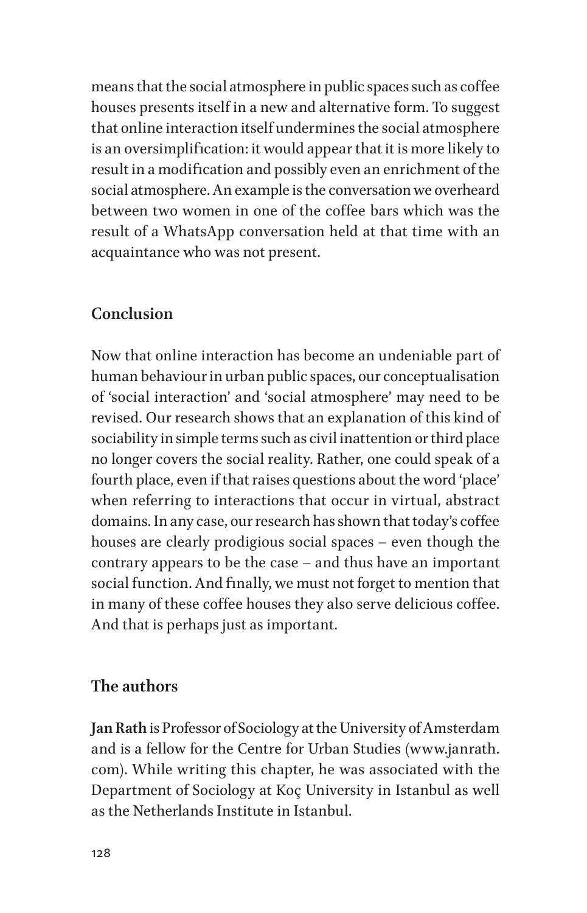means that the social atmosphere in public spaces such as coffee houses presents itself in a new and alternative form. To suggest that online interaction itself undermines the social atmosphere is an oversimplification: it would appear that it is more likely to result in a modification and possibly even an enrichment of the social atmosphere. An example is the conversation we overheard between two women in one of the coffee bars which was the result of a WhatsApp conversation held at that time with an acquaintance who was not present.

# **Conclusion**

Now that online interaction has become an undeniable part of human behaviour in urban public spaces, our conceptualisation of 'social interaction' and 'social atmosphere' may need to be revised. Our research shows that an explanation of this kind of sociability in simple terms such as civil inattention or third place no longer covers the social reality. Rather, one could speak of a fourth place, even if that raises questions about the word 'place' when referring to interactions that occur in virtual, abstract domains. In any case, our research has shown that today's coffee houses are clearly prodigious social spaces – even though the contrary appears to be the case – and thus have an important social function. And finally, we must not forget to mention that in many of these coffee houses they also serve delicious coffee. And that is perhaps just as important.

### **The authors**

**Jan Rath** is Professor of Sociology at the University of Amsterdam and is a fellow for the Centre for Urban Studies (www.janrath. com). While writing this chapter, he was associated with the Department of Sociology at Koç University in Istanbul as well as the Netherlands Institute in Istanbul.